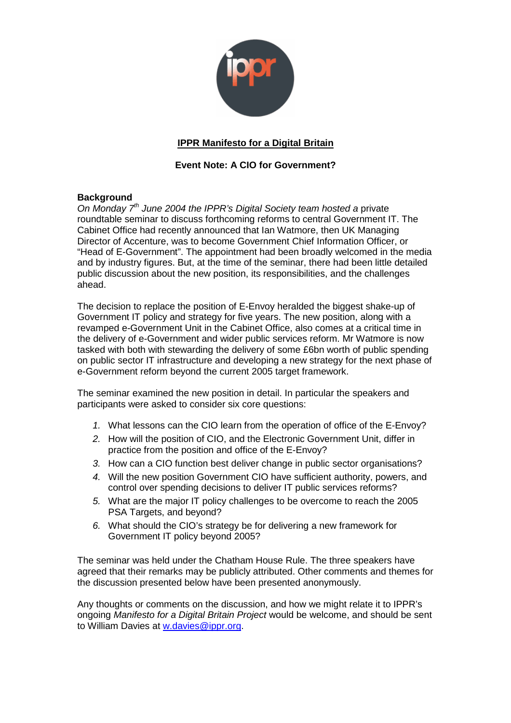

# **IPPR Manifesto for a Digital Britain**

## **Event Note: A CIO for Government?**

## **Background**

On Monday  $7<sup>th</sup>$  June 2004 the IPPR's Digital Society team hosted a private roundtable seminar to discuss forthcoming reforms to central Government IT. The Cabinet Office had recently announced that Ian Watmore, then UK Managing Director of Accenture, was to become Government Chief Information Officer, or "Head of E-Government". The appointment had been broadly welcomed in the media and by industry figures. But, at the time of the seminar, there had been little detailed public discussion about the new position, its responsibilities, and the challenges ahead.

The decision to replace the position of E-Envoy heralded the biggest shake-up of Government IT policy and strategy for five years. The new position, along with a revamped e-Government Unit in the Cabinet Office, also comes at a critical time in the delivery of e-Government and wider public services reform. Mr Watmore is now tasked with both with stewarding the delivery of some £6bn worth of public spending on public sector IT infrastructure and developing a new strategy for the next phase of e-Government reform beyond the current 2005 target framework.

The seminar examined the new position in detail. In particular the speakers and participants were asked to consider six core questions:

- 1. What lessons can the CIO learn from the operation of office of the E-Envoy?
- 2. How will the position of CIO, and the Electronic Government Unit, differ in practice from the position and office of the E-Envoy?
- 3. How can a CIO function best deliver change in public sector organisations?
- 4. Will the new position Government CIO have sufficient authority, powers, and control over spending decisions to deliver IT public services reforms?
- 5. What are the major IT policy challenges to be overcome to reach the 2005 PSA Targets, and beyond?
- 6. What should the CIO's strategy be for delivering a new framework for Government IT policy beyond 2005?

The seminar was held under the Chatham House Rule. The three speakers have agreed that their remarks may be publicly attributed. Other comments and themes for the discussion presented below have been presented anonymously.

Any thoughts or comments on the discussion, and how we might relate it to IPPR's ongoing Manifesto for a Digital Britain Project would be welcome, and should be sent to William Davies at w.davies@ippr.org.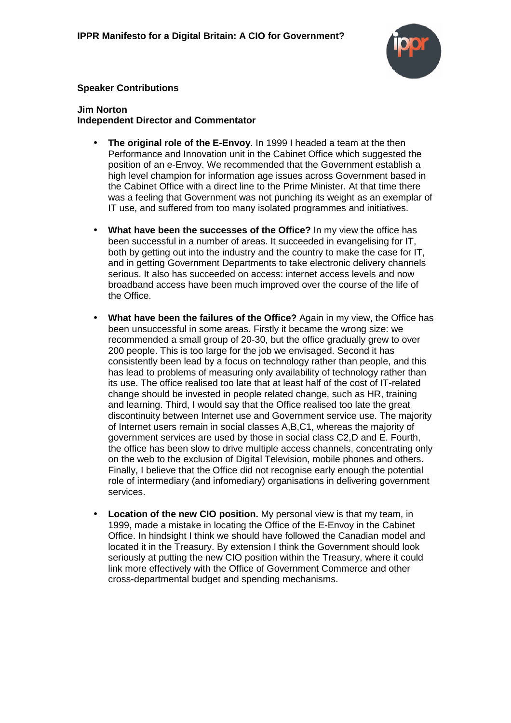

## **Speaker Contributions**

#### **Jim Norton Independent Director and Commentator**

- **The original role of the E-Envoy**. In 1999 I headed a team at the then Performance and Innovation unit in the Cabinet Office which suggested the position of an e-Envoy. We recommended that the Government establish a high level champion for information age issues across Government based in the Cabinet Office with a direct line to the Prime Minister. At that time there was a feeling that Government was not punching its weight as an exemplar of IT use, and suffered from too many isolated programmes and initiatives.
- **What have been the successes of the Office?** In my view the office has been successful in a number of areas. It succeeded in evangelising for IT, both by getting out into the industry and the country to make the case for IT, and in getting Government Departments to take electronic delivery channels serious. It also has succeeded on access: internet access levels and now broadband access have been much improved over the course of the life of the Office.
- **What have been the failures of the Office?** Again in my view, the Office has been unsuccessful in some areas. Firstly it became the wrong size: we recommended a small group of 20-30, but the office gradually grew to over 200 people. This is too large for the job we envisaged. Second it has consistently been lead by a focus on technology rather than people, and this has lead to problems of measuring only availability of technology rather than its use. The office realised too late that at least half of the cost of IT-related change should be invested in people related change, such as HR, training and learning. Third, I would say that the Office realised too late the great discontinuity between Internet use and Government service use. The majority of Internet users remain in social classes A,B,C1, whereas the majority of government services are used by those in social class C2,D and E. Fourth, the office has been slow to drive multiple access channels, concentrating only on the web to the exclusion of Digital Television, mobile phones and others. Finally, I believe that the Office did not recognise early enough the potential role of intermediary (and infomediary) organisations in delivering government services.
- **Location of the new CIO position.** My personal view is that my team, in 1999, made a mistake in locating the Office of the E-Envoy in the Cabinet Office. In hindsight I think we should have followed the Canadian model and located it in the Treasury. By extension I think the Government should look seriously at putting the new CIO position within the Treasury, where it could link more effectively with the Office of Government Commerce and other cross-departmental budget and spending mechanisms.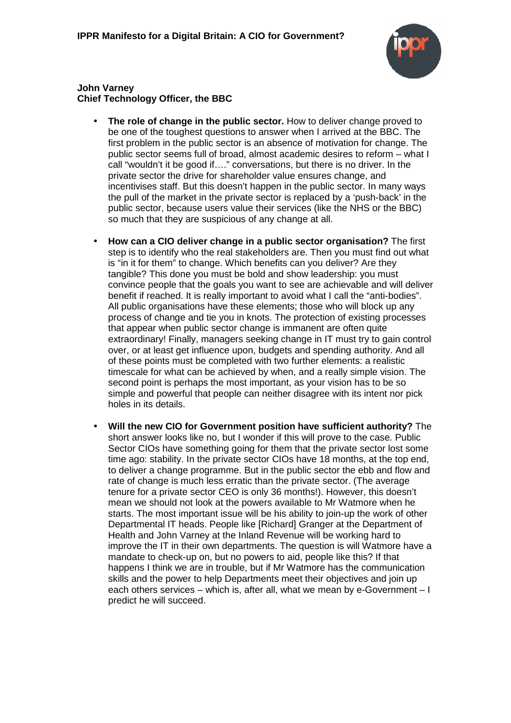

**John Varney Chief Technology Officer, the BBC**

- **The role of change in the public sector.** How to deliver change proved to be one of the toughest questions to answer when I arrived at the BBC. The first problem in the public sector is an absence of motivation for change. The public sector seems full of broad, almost academic desires to reform – what I call "wouldn't it be good if…." conversations, but there is no driver. In the private sector the drive for shareholder value ensures change, and incentivises staff. But this doesn't happen in the public sector. In many ways the pull of the market in the private sector is replaced by a 'push-back' in the public sector, because users value their services (like the NHS or the BBC) so much that they are suspicious of any change at all.
- **How can a CIO deliver change in a public sector organisation?** The first step is to identify who the real stakeholders are. Then you must find out what is "in it for them" to change. Which benefits can you deliver? Are they tangible? This done you must be bold and show leadership: you must convince people that the goals you want to see are achievable and will deliver benefit if reached. It is really important to avoid what I call the "anti-bodies". All public organisations have these elements; those who will block up any process of change and tie you in knots. The protection of existing processes that appear when public sector change is immanent are often quite extraordinary! Finally, managers seeking change in IT must try to gain control over, or at least get influence upon, budgets and spending authority. And all of these points must be completed with two further elements: a realistic timescale for what can be achieved by when, and a really simple vision. The second point is perhaps the most important, as your vision has to be so simple and powerful that people can neither disagree with its intent nor pick holes in its details.
- **Will the new CIO for Government position have sufficient authority?** The short answer looks like no, but I wonder if this will prove to the case. Public Sector CIOs have something going for them that the private sector lost some time ago: stability. In the private sector CIOs have 18 months, at the top end, to deliver a change programme. But in the public sector the ebb and flow and rate of change is much less erratic than the private sector. (The average tenure for a private sector CEO is only 36 months!). However, this doesn't mean we should not look at the powers available to Mr Watmore when he starts. The most important issue will be his ability to join-up the work of other Departmental IT heads. People like [Richard] Granger at the Department of Health and John Varney at the Inland Revenue will be working hard to improve the IT in their own departments. The question is will Watmore have a mandate to check-up on, but no powers to aid, people like this? If that happens I think we are in trouble, but if Mr Watmore has the communication skills and the power to help Departments meet their objectives and join up each others services – which is, after all, what we mean by e-Government – I predict he will succeed.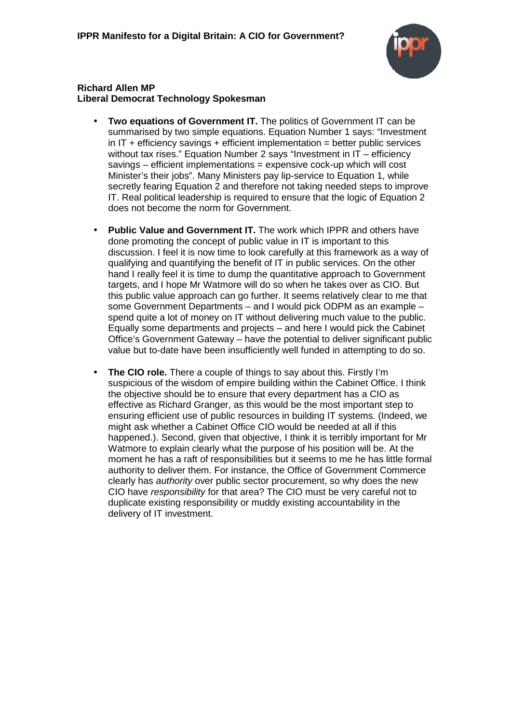

## **Richard Allen MP Liberal Democrat Technology Spokesman**

- **Two equations of Government IT.** The politics of Government IT can be summarised by two simple equations. Equation Number 1 says: "Investment in  $IT +$  efficiency savings  $+$  efficient implementation = better public services without tax rises." Equation Number 2 says "Investment in IT – efficiency savings – efficient implementations = expensive cock-up which will cost Minister's their jobs". Many Ministers pay lip-service to Equation 1, while secretly fearing Equation 2 and therefore not taking needed steps to improve IT. Real political leadership is required to ensure that the logic of Equation 2 does not become the norm for Government.
- **Public Value and Government IT.** The work which IPPR and others have done promoting the concept of public value in IT is important to this discussion. I feel it is now time to look carefully at this framework as a way of qualifying and quantifying the benefit of IT in public services. On the other hand I really feel it is time to dump the quantitative approach to Government targets, and I hope Mr Watmore will do so when he takes over as CIO. But this public value approach can go further. It seems relatively clear to me that some Government Departments – and I would pick ODPM as an example – spend quite a lot of money on IT without delivering much value to the public. Equally some departments and projects – and here I would pick the Cabinet Office's Government Gateway – have the potential to deliver significant public value but to-date have been insufficiently well funded in attempting to do so.
- **The CIO role.** There a couple of things to say about this. Firstly I'm suspicious of the wisdom of empire building within the Cabinet Office. I think the objective should be to ensure that every department has a CIO as effective as Richard Granger, as this would be the most important step to ensuring efficient use of public resources in building IT systems. (Indeed, we might ask whether a Cabinet Office CIO would be needed at all if this happened.). Second, given that objective, I think it is terribly important for Mr Watmore to explain clearly what the purpose of his position will be. At the moment he has a raft of responsibilities but it seems to me he has little formal authority to deliver them. For instance, the Office of Government Commerce clearly has authority over public sector procurement, so why does the new CIO have responsibility for that area? The CIO must be very careful not to duplicate existing responsibility or muddy existing accountability in the delivery of IT investment.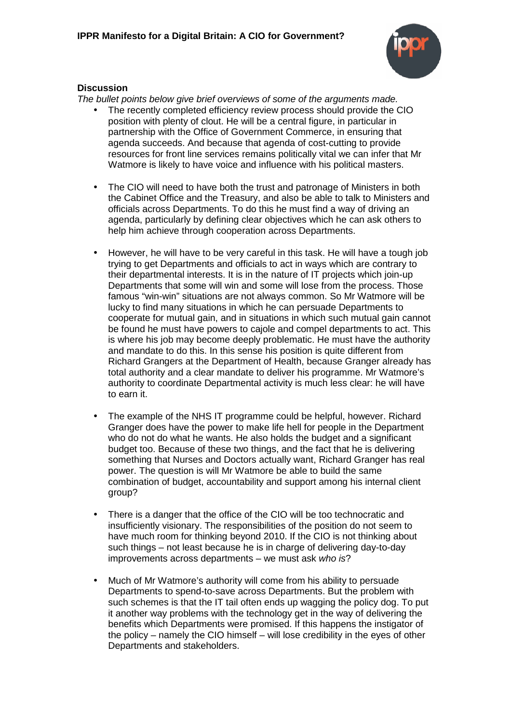

## **Discussion**

The bullet points below give brief overviews of some of the arguments made.

- The recently completed efficiency review process should provide the CIO position with plenty of clout. He will be a central figure, in particular in partnership with the Office of Government Commerce, in ensuring that agenda succeeds. And because that agenda of cost-cutting to provide resources for front line services remains politically vital we can infer that Mr Watmore is likely to have voice and influence with his political masters.
- The CIO will need to have both the trust and patronage of Ministers in both the Cabinet Office and the Treasury, and also be able to talk to Ministers and officials across Departments. To do this he must find a way of driving an agenda, particularly by defining clear objectives which he can ask others to help him achieve through cooperation across Departments.
- However, he will have to be very careful in this task. He will have a tough job trying to get Departments and officials to act in ways which are contrary to their departmental interests. It is in the nature of IT projects which join-up Departments that some will win and some will lose from the process. Those famous "win-win" situations are not always common. So Mr Watmore will be lucky to find many situations in which he can persuade Departments to cooperate for mutual gain, and in situations in which such mutual gain cannot be found he must have powers to cajole and compel departments to act. This is where his job may become deeply problematic. He must have the authority and mandate to do this. In this sense his position is quite different from Richard Grangers at the Department of Health, because Granger already has total authority and a clear mandate to deliver his programme. Mr Watmore's authority to coordinate Departmental activity is much less clear: he will have to earn it.
- The example of the NHS IT programme could be helpful, however. Richard Granger does have the power to make life hell for people in the Department who do not do what he wants. He also holds the budget and a significant budget too. Because of these two things, and the fact that he is delivering something that Nurses and Doctors actually want, Richard Granger has real power. The question is will Mr Watmore be able to build the same combination of budget, accountability and support among his internal client group?
- There is a danger that the office of the CIO will be too technocratic and insufficiently visionary. The responsibilities of the position do not seem to have much room for thinking beyond 2010. If the CIO is not thinking about such things – not least because he is in charge of delivering day-to-day improvements across departments – we must ask who is?
- Much of Mr Watmore's authority will come from his ability to persuade Departments to spend-to-save across Departments. But the problem with such schemes is that the IT tail often ends up wagging the policy dog. To put it another way problems with the technology get in the way of delivering the benefits which Departments were promised. If this happens the instigator of the policy – namely the CIO himself – will lose credibility in the eyes of other Departments and stakeholders.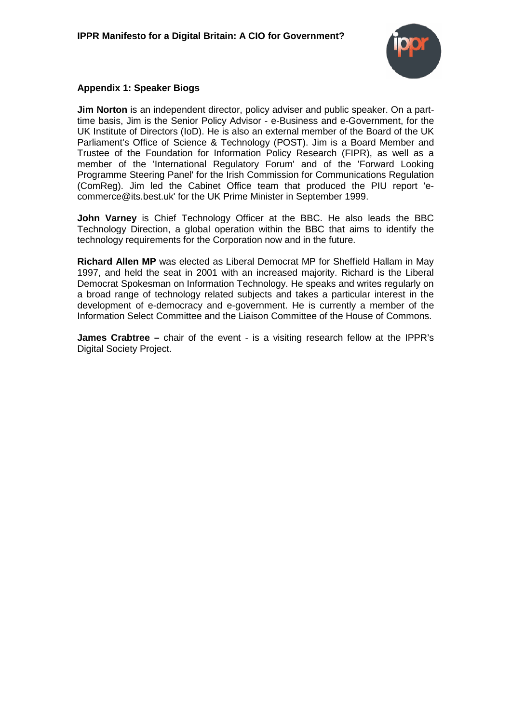

## **Appendix 1: Speaker Biogs**

**Jim Norton** is an independent director, policy adviser and public speaker. On a parttime basis, Jim is the Senior Policy Advisor - e-Business and e-Government, for the UK Institute of Directors (IoD). He is also an external member of the Board of the UK Parliament's Office of Science & Technology (POST). Jim is a Board Member and Trustee of the Foundation for Information Policy Research (FIPR), as well as a member of the 'International Regulatory Forum' and of the 'Forward Looking Programme Steering Panel' for the Irish Commission for Communications Regulation (ComReg). Jim led the Cabinet Office team that produced the PIU report 'ecommerce@its.best.uk' for the UK Prime Minister in September 1999.

**John Varney** is Chief Technology Officer at the BBC. He also leads the BBC Technology Direction, a global operation within the BBC that aims to identify the technology requirements for the Corporation now and in the future.

**Richard Allen MP** was elected as Liberal Democrat MP for Sheffield Hallam in May 1997, and held the seat in 2001 with an increased majority. Richard is the Liberal Democrat Spokesman on Information Technology. He speaks and writes regularly on a broad range of technology related subjects and takes a particular interest in the development of e-democracy and e-government. He is currently a member of the Information Select Committee and the Liaison Committee of the House of Commons.

**James Crabtree –** chair of the event - is a visiting research fellow at the IPPR's Digital Society Project.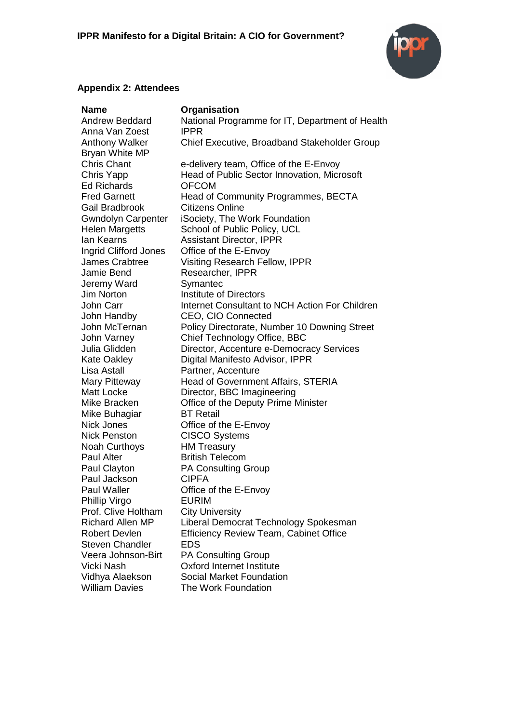

## **Appendix 2: Attendees**

| <b>Name</b>               | Organisation                                    |
|---------------------------|-------------------------------------------------|
| <b>Andrew Beddard</b>     | National Programme for IT, Department of Health |
| Anna Van Zoest            | <b>IPPR</b>                                     |
| <b>Anthony Walker</b>     | Chief Executive, Broadband Stakeholder Group    |
| Bryan White MP            |                                                 |
| <b>Chris Chant</b>        | e-delivery team, Office of the E-Envoy          |
| Chris Yapp                | Head of Public Sector Innovation, Microsoft     |
| <b>Ed Richards</b>        | <b>OFCOM</b>                                    |
| <b>Fred Garnett</b>       | Head of Community Programmes, BECTA             |
| Gail Bradbrook            | Citizens Online                                 |
| <b>Gwndolyn Carpenter</b> | iSociety, The Work Foundation                   |
| <b>Helen Margetts</b>     | School of Public Policy, UCL                    |
| lan Kearns                | <b>Assistant Director, IPPR</b>                 |
| Ingrid Clifford Jones     | Office of the E-Envoy                           |
| <b>James Crabtree</b>     | <b>Visiting Research Fellow, IPPR</b>           |
| Jamie Bend                | Researcher, IPPR                                |
| Jeremy Ward               | Symantec                                        |
| Jim Norton                | <b>Institute of Directors</b>                   |
| John Carr                 | Internet Consultant to NCH Action For Children  |
| John Handby               | <b>CEO, CIO Connected</b>                       |
| John McTernan             | Policy Directorate, Number 10 Downing Street    |
| John Varney               | Chief Technology Office, BBC                    |
| Julia Glidden             | Director, Accenture e-Democracy Services        |
| <b>Kate Oakley</b>        | Digital Manifesto Advisor, IPPR                 |
| Lisa Astall               | Partner, Accenture                              |
| Mary Pitteway             | Head of Government Affairs, STERIA              |
| Matt Locke                | Director, BBC Imagineering                      |
| Mike Bracken              | Office of the Deputy Prime Minister             |
| Mike Buhagiar             | <b>BT</b> Retail                                |
| <b>Nick Jones</b>         | Office of the E-Envoy                           |
| <b>Nick Penston</b>       | <b>CISCO Systems</b>                            |
| <b>Noah Curthoys</b>      | <b>HM Treasury</b>                              |
| <b>Paul Alter</b>         | <b>British Telecom</b>                          |
| Paul Clayton              | <b>PA Consulting Group</b>                      |
| Paul Jackson              | <b>CIPFA</b>                                    |
| <b>Paul Waller</b>        | Office of the E-Envoy                           |
| Phillip Virgo             | <b>EURIM</b>                                    |
| Prof. Clive Holtham       | <b>City University</b>                          |
| <b>Richard Allen MP</b>   | Liberal Democrat Technology Spokesman           |
| <b>Robert Devlen</b>      | <b>Efficiency Review Team, Cabinet Office</b>   |
| <b>Steven Chandler</b>    | <b>EDS</b>                                      |
| Veera Johnson-Birt        | <b>PA Consulting Group</b>                      |
| Vicki Nash                | <b>Oxford Internet Institute</b>                |
| Vidhya Alaekson           | Social Market Foundation                        |
| <b>William Davies</b>     | The Work Foundation                             |
|                           |                                                 |